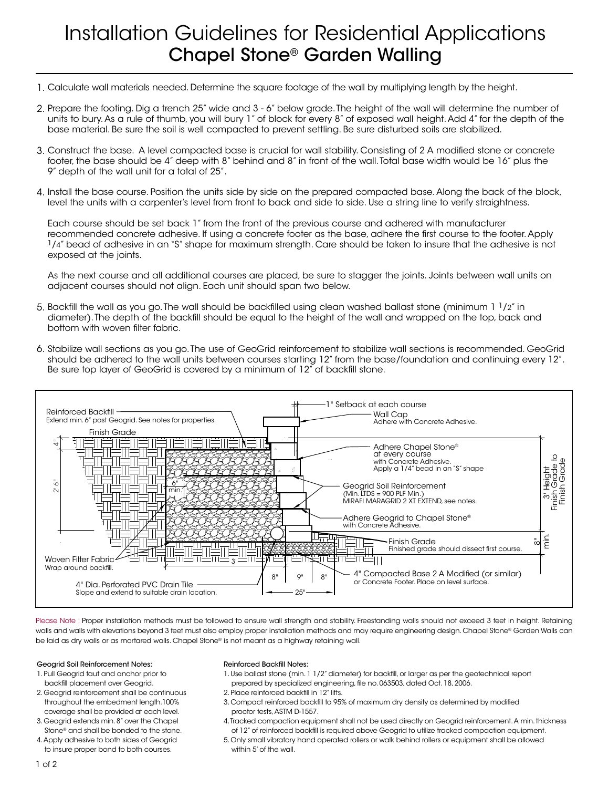# Installation Guidelines for Residential Applications Chapel Stone® Garden Walling

- Calculate wall materials needed. Determine the square footage of the wall by multiplying length by the height. 1.
- Prepare the footing. Dig a trench 25" wide and 3 6" below grade. The height of the wall will determine the number of 2. units to bury. As a rule of thumb, you will bury 1" of block for every 8" of exposed wall height. Add 4" for the depth of the base material. Be sure the soil is well compacted to prevent settling. Be sure disturbed soils are stabilized.
- Construct the base. A level compacted base is crucial for wall stability. Consisting of 2 A modified stone or concrete 3. footer, the base should be 4" deep with 8" behind and 8" in front of the wall. Total base width would be 16" plus the 9" depth of the wall unit for a total of 25".
- Install the base course. Position the units side by side on the prepared compacted base. Along the back of the block, 4. level the units with a carpenter's level from front to back and side to side. Use a string line to verify straightness.

Each course should be set back 1" from the front of the previous course and adhered with manufacturer recommended concrete adhesive. If using a concrete footer as the base, adhere the first course to the footer. Apply 1/4" bead of adhesive in an "S" shape for maximum strength. Care should be taken to insure that the adhesive is not exposed at the joints.

As the next course and all additional courses are placed, be sure to stagger the joints. Joints between wall units on adjacent courses should not align. Each unit should span two below.

- 5. Backfill the wall as you go. The wall should be backfilled using clean washed ballast stone (minimum  $1\frac{1}{2}$ " in diameter). The depth of the backfill should be equal to the height of the wall and wrapped on the top, back and bottom with woven filter fabric.
- Stabilize wall sections as you go. The use of GeoGrid reinforcement to stabilize wall sections is recommended. GeoGrid 6. should be adhered to the wall units between courses starting 12" from the base/foundation and continuing every 12". Be sure top layer of GeoGrid is covered by a minimum of 12" of backfill stone.



Please Note : Proper installation methods must be followed to ensure wall strength and stability. Freestanding walls should not exceed 3 feet in height. Retaining walls and walls with elevations beyond 3 feet must also employ proper installation methods and may require engineering design. Chapel Stone® Garden Walls can be laid as dry walls or as mortared walls. Chapel Stone® is not meant as a highway retaining wall.

### Geogrid Soil Reinforcement Notes:

- 1. Pull Geogrid taut and anchor prior to backfill placement over Geogrid.
- 2. Geogrid reinforcement shall be continuous throughout the embedment length.100% coverage shall be provided at each level.
- Stone® and shall be bonded to the stone. of 12" of reinforced backfill is 3. Geogrid extends min. 8" over the Chapel
- 4. Apply adhesive to both sides of Geogrid to insure proper bond to both courses.

#### 4. Tracked compaction equipment shall not be used directly on Geogrid reinforcement. Reinforced Backfill Notes:

- 1. Use ballast stone (min. 1 1/2" diameter) for backfill, or larger as per the geotechnical report prepared by specialized engineering, file no. 063503, dated Oct. 18, 2006.
- 2. Place reinforced backfill in 12" lifts.
- 3. Compact reinforced backfill to 95% of maximum dry density as determined by modified proctor tests, ASTM D-1557.
- Geogrid extends min. 8" over the Chapel **1996** A. Tracked compaction equipment shall not be used directly on Geogrid reinforcement. A min. thickness tone® and shall be bonded to the stone. The store of 12" of reinforced backfill is required above Geogrid to utilize tracked compaction equipment.
	- 5. Only small vibratory hand operated rollers or walk behind rollers or equipment shall be allowed within 5' of the wall.